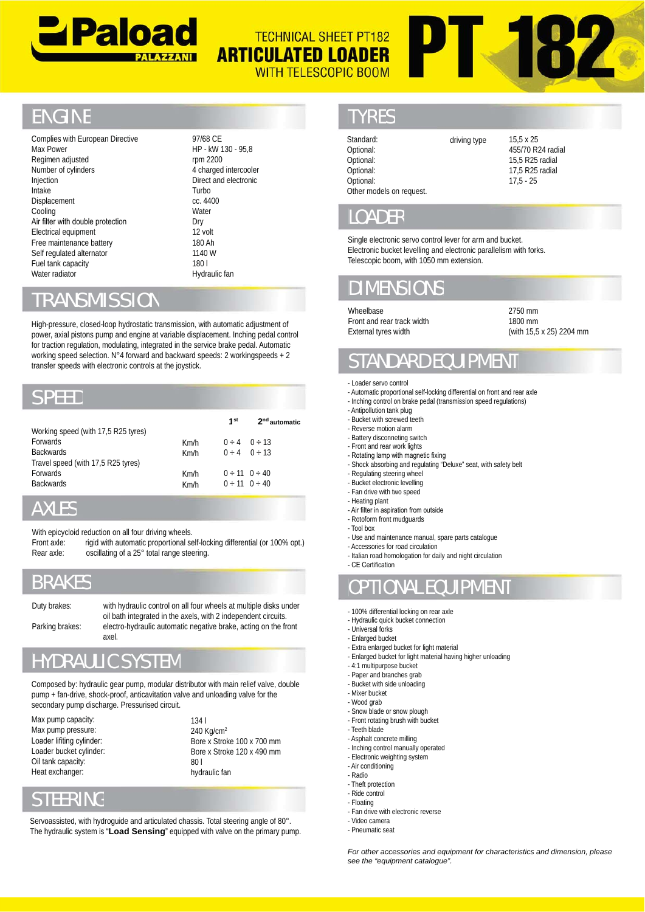

#### **TERZ TECHNICAL SHEET PT182 ARTICULATED LOADER WITH TELESCOPIC BOOM**

## **ENGINE**

Complies with European Directive Max Power Regimen adjusted Number of cylinders Injection Intake Displacement Cooling Air filter with double protection Electrical equipment Free maintenance battery battery Self regulated alternator Fuel tank capacity Water radiator radiator Number of cylinders<br>
Injection<br>
Intake<br>
Displacement<br>
Cooling<br>
Air filter with double protect<br>
Electrical equipment<br>
Electrical equipment<br>
Free maintenance battery<br>
Self regulated alternator<br>
Fuel tank capacity<br>
Water radi

97/68 CE 97/68 HP - kW 130 - 95,8 rpm 2200 4 charged intercooler Direct and electronic Direct Turbo Turbo  $cc$ . 4400 **Water** Dry 12 volt 180 Ah 180 1140 W 180 l 180

Hydraulic fan

#### **TRANSMISSION**

High-pressure, closed-loop hydrostatic transmission, with automatic adjustment of power, axial pistons pump and engine at variable displacement. Inching pedal control for traction regulation, modulating, integrated in the service brake pedal. Automatic for traction regulation, modulating, integrated in the service brake pedal. Automatic<br>working speed selection. N°4 forward and backward speeds: 2 workingspeeds + 2 transfer speeds with electronic controls at the joystick.

#### SPEED

|                                     |      | 1 <sup>st</sup> | $2nd$ automatic         |
|-------------------------------------|------|-----------------|-------------------------|
| Working speed (with 17,5 R25 tyres) |      |                 |                         |
| <b>Forwards</b>                     | Km/h |                 | $0 \div 4 = 0 \div 13$  |
| <b>Backwards</b>                    | Km/h |                 | $0 \div 4 = 0 \div 13$  |
| Travel speed (with 17,5 R25 tyres)  |      |                 |                         |
| <b>Forwards</b>                     | Km/h |                 | $0 \div 11$ $0 \div 40$ |
| <b>Backwards</b>                    | Km/h |                 | $0 \div 11$ $0 \div 40$ |
|                                     |      |                 |                         |

#### AXLES

With epicycloid reduction on all four driving wheels.

With epicycloid reduction on all four driving wheels.<br>Front axle: rigid with automatic proportional self-locking differential (or 100% opt.) Rear axle: oscillating of a 25° total range steering.

## BRAKES

Duty brakes: with hydraulic control on all four wheels at multiple disks under oil bath integrated in the axels, with 2 independent circuits. Parking brakes: electro-hydraulic automatic negative brake, acting on the front axel.

# HYDRAULIC SYSTEM

Composed by: hydraulic gear pump, modular distributor with main relief valve, double pump + fan-drive, shock-proof, anticavitation valve and unloading valve for the secondary pump discharge. Pressurised circuit. oil bath integrated in the axels, with 2 independent circu<br>Parking brakes: electro-hydraulic automatic negative brake, acting on the<br>axel.<br>**HYDRAULIC SYSTEM**<br>Composed by: hydraulic gear pump, modular distributor with main

Max pump capacity: Max pump pressure: Max Loader lifiting cylinder: Loader bucket cylinder: Oil tank capacity: Heat exchanger:

#### 134 l 240 Kg/cm<sup>2</sup> Bore x Stroke 100 x 700 mm Bore x Stroke 120 x 490 mm 80 l hydraulic fan

## STEERING

Servoassisted, with hydroguide and articulated chassis. Total steering angle of 80°. The hydraulic system is "**Load Sensing**" equipped with valve on the primary pump. Max pump pressure:  $\begin{array}{lll} & 240 \text{ Kg/cm}^2 \ \text{Loader lifting cylinder:} & \text{Bore x Stroke 100 x 700 mm} \ \text{Loader bucket cylinder:} & \text{Bore x Stroke 120 x 490 mm} \ \text{Oil tank capacity:} & 801 \ \text{Heat exchange:} & \text{hydrodynamic fan} \ \text{STEERING} & \text{Servoassisted, with hydroguide and attributed chassis. Total steering angle of 80°.} \ \text{The hydraulic system is "Load Sensina" equipped with valve on the primary pump} \end{array}$ 

## TYRES

| Standard:<br>Optional:   | driving type | $15.5 \times 25$<br>455/70 R24 radial |
|--------------------------|--------------|---------------------------------------|
| Optional:                |              | 15.5 R25 radial                       |
| Optional:                |              | 17.5 R25 radial                       |
| Optional:                |              | $17.5 - 25$                           |
| Other models on request. |              |                                       |

#### LOADER

Single electronic servo control lever for arm and bucket. Electronic bucket levelling and electronic parallelism with forks. Telescopic boom, with 1050 mm extension.

# DIMENSIO

Wheelbase Front and rear track width External tyres width

2750 mm 1800 mm (with 15,5 x 25) 2204 mm

# STANDARD EOUIPM

- Loader servo control
- Automatic proportional self-locking differential on front and rear axle
- Inching control on brake pedal (transmission speed regulations)
- Antipollution tank plug - Bucket with screwed teeth
- 
- Reverse motion alarm - Battery disconneting switch
- Front and rear work lights
- Rotating lamp with magnetic fixing
- Shock absorbing and regulating "Deluxe" seat, with safety belt -
- Regulating steering wheel
- Bucket electronic levelling
- Fan drive with two speed
- Heating plant
- Air filter in aspiration from outside - Rotoform front mudguards
- Tool box
- Use and maintenance manual, spare parts catalogue
- Accessories for road circulation
- Italian road homologation for daily and night circulation
- CE Certification

## OPTIONAL EQU

- 100% differential locking on rear axle
- Hydraulic quick bucket connection
- Universal forks -
- Enlarged bucket
- Extra enlarged bucket for light material
- Enlarged bucket for light material having higher unloading
- 4:1 multipurpose bucket
- Paper and branches grab - Bucket with side unloading
- Mixer bucket
- Wood grab
- Snow blade or snow plough
- Front rotating brush with bucket
- Teeth blade
- Asphalt concrete milling
- Inching control manually operated
- Electronic weighting system
- Air conditioning
- Radio
- Theft protection
- Ride control - Floating
- Fan drive with electronic reverse
- Video camera
- Pneumatic seat

*For other accessories and equipment for characteristics and dimension, please see the "equipment catalogue".*